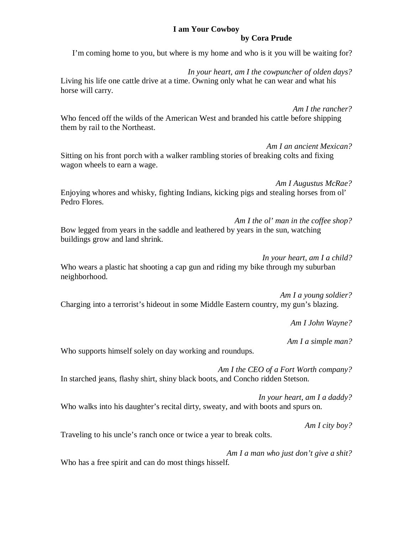## **I am Your Cowboy**

#### **by Cora Prude**

I'm coming home to you, but where is my home and who is it you will be waiting for?

*In your heart, am I the cowpuncher of olden days?* Living his life one cattle drive at a time. Owning only what he can wear and what his horse will carry.

*Am I the rancher?* Who fenced off the wilds of the American West and branded his cattle before shipping them by rail to the Northeast.

*Am I an ancient Mexican?* Sitting on his front porch with a walker rambling stories of breaking colts and fixing wagon wheels to earn a wage.

*Am I Augustus McRae?* Enjoying whores and whisky, fighting Indians, kicking pigs and stealing horses from ol' Pedro Flores.

*Am I the ol' man in the coffee shop?* Bow legged from years in the saddle and leathered by years in the sun, watching buildings grow and land shrink.

*In your heart, am I a child?* Who wears a plastic hat shooting a cap gun and riding my bike through my suburban neighborhood.

*Am I a young soldier?* Charging into a terrorist's hideout in some Middle Eastern country, my gun's blazing.

*Am I John Wayne?*

*Am I a simple man?*

Who supports himself solely on day working and roundups.

*Am I the CEO of a Fort Worth company?* In starched jeans, flashy shirt, shiny black boots, and Concho ridden Stetson.

*In your heart, am I a daddy?* Who walks into his daughter's recital dirty, sweaty, and with boots and spurs on.

*Am I city boy?*

Traveling to his uncle's ranch once or twice a year to break colts.

*Am I a man who just don't give a shit?* Who has a free spirit and can do most things hisself.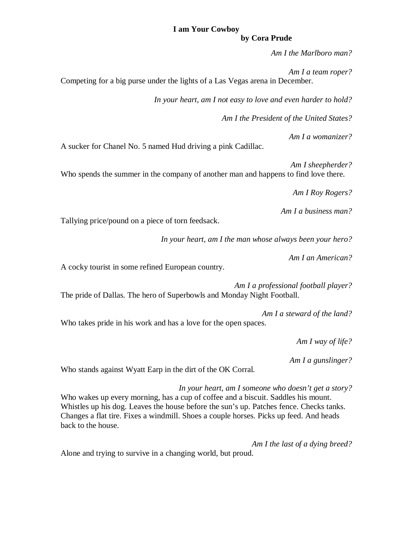# **I am Your Cowboy**

#### **by Cora Prude**

*Am I the Marlboro man?*

*Am I a team roper?* Competing for a big purse under the lights of a Las Vegas arena in December.

*In your heart, am I not easy to love and even harder to hold?*

*Am I the President of the United States?*

*Am I a womanizer?*

A sucker for Chanel No. 5 named Hud driving a pink Cadillac.

*Am I sheepherder?*

Who spends the summer in the company of another man and happens to find love there.

*Am I Roy Rogers?*

*Am I a business man?*

Tallying price/pound on a piece of torn feedsack.

*In your heart, am I the man whose always been your hero?*

*Am I an American?*

A cocky tourist in some refined European country.

*Am I a professional football player?* The pride of Dallas. The hero of Superbowls and Monday Night Football.

*Am I a steward of the land?* Who takes pride in his work and has a love for the open spaces.

*Am I way of life?*

*Am I a gunslinger?*

Who stands against Wyatt Earp in the dirt of the OK Corral.

*In your heart, am I someone who doesn't get a story?* Who wakes up every morning, has a cup of coffee and a biscuit. Saddles his mount. Whistles up his dog. Leaves the house before the sun's up. Patches fence. Checks tanks. Changes a flat tire. Fixes a windmill. Shoes a couple horses. Picks up feed. And heads back to the house.

*Am I the last of a dying breed?*

Alone and trying to survive in a changing world, but proud.